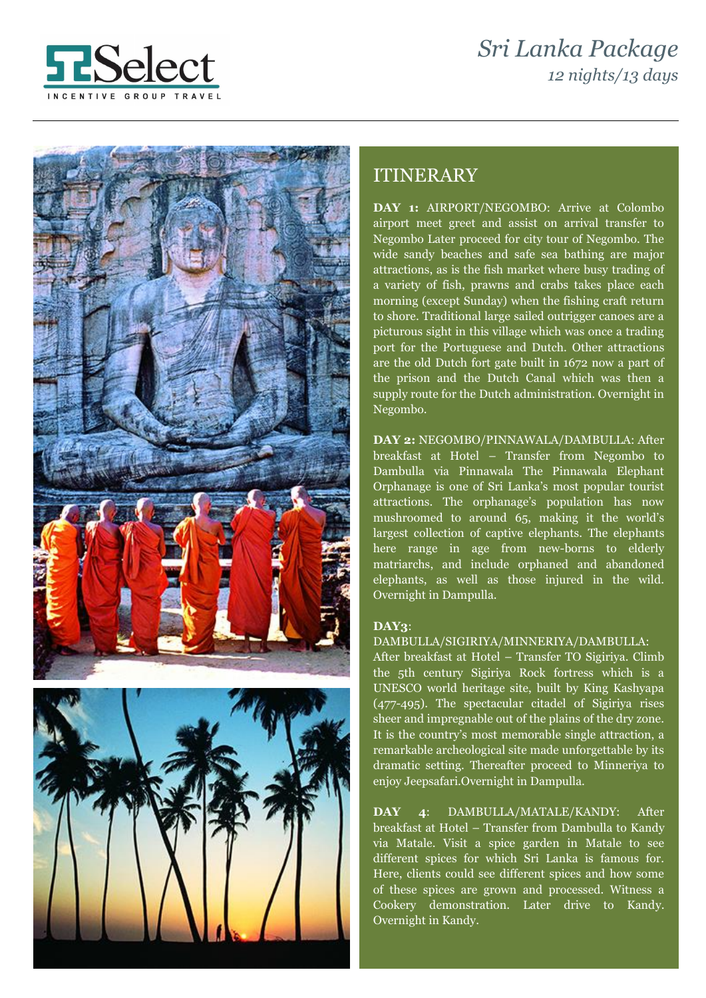# *Sri Lanka Package 12 nights/13 days*







# ITINERARY

**DAY 1:** AIRPORT/NEGOMBO: Arrive at Colombo airport meet greet and assist on arrival transfer to Negombo Later proceed for city tour of Negombo. The wide sandy beaches and safe sea bathing are major attractions, as is the fish market where busy trading of a variety of fish, prawns and crabs takes place each morning (except Sunday) when the fishing craft return to shore. Traditional large sailed outrigger canoes are a picturous sight in this village which was once a trading port for the Portuguese and Dutch. Other attractions are the old Dutch fort gate built in 1672 now a part of the prison and the Dutch Canal which was then a supply route for the Dutch administration. Overnight in Negombo.

**DAY 2:** NEGOMBO/PINNAWALA/DAMBULLA: After breakfast at Hotel – Transfer from Negombo to Dambulla via Pinnawala The Pinnawala Elephant Orphanage is one of Sri Lanka's most popular tourist attractions. The orphanage's population has now mushroomed to around 65, making it the world's largest collection of captive elephants. The elephants here range in age from new-borns to elderly matriarchs, and include orphaned and abandoned elephants, as well as those injured in the wild. Overnight in Dampulla.

#### **DAY3**:

#### DAMBULLA/SIGIRIYA/MINNERIYA/DAMBULLA:

After breakfast at Hotel – Transfer TO Sigiriya. Climb the 5th century Sigiriya Rock fortress which is a UNESCO world heritage site, built by King Kashyapa (477-495). The spectacular citadel of Sigiriya rises sheer and impregnable out of the plains of the dry zone. It is the country's most memorable single attraction, a remarkable archeological site made unforgettable by its dramatic setting. Thereafter proceed to Minneriya to enjoy Jeepsafari.Overnight in Dampulla.

**DAY 4**: DAMBULLA/MATALE/KANDY: After breakfast at Hotel – Transfer from Dambulla to Kandy via Matale. Visit a spice garden in Matale to see different spices for which Sri Lanka is famous for. Here, clients could see different spices and how some of these spices are grown and processed. Witness a Cookery demonstration. Later drive to Kandy. Overnight in Kandy.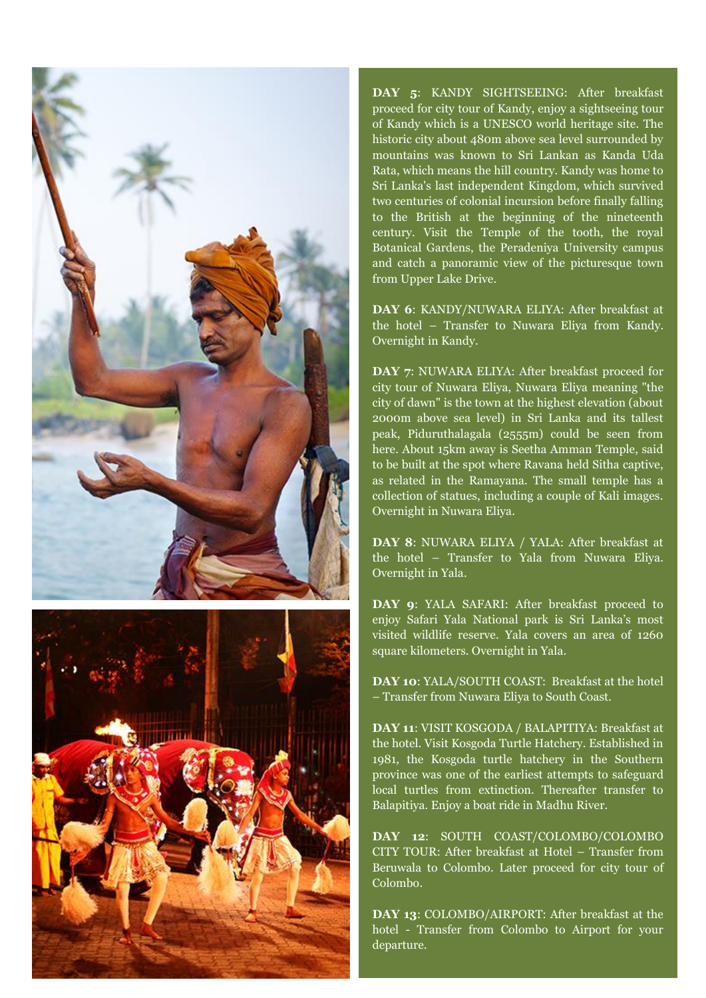



**DAY 5**: KANDY SIGHTSEEING: After breakfast proceed for city tour of Kandy, enjoy a sightseeing tour of Kandy which is a UNESCO world heritage site. The historic city about 480m above sea level surrounded by mountains was known to Sri Lankan as Kanda Uda Rata, which means the hill country. Kandy was home to Sri Lanka's last independent Kingdom, which survived two centuries of colonial incursion before finally falling to the British at the beginning of the nineteenth century. Visit the Temple of the tooth, the royal Botanical Gardens, the Peradeniya University campus and catch a panoramic view of the picturesque town from Upper Lake Drive.

**DAY 6**: KANDY/NUWARA ELIYA: After breakfast at the hotel – Transfer to Nuwara Eliya from Kandy. Overnight in Kandy.

**DAY 7**: NUWARA ELIYA: After breakfast proceed for city tour of Nuwara Eliya, Nuwara Eliya meaning "the city of dawn" is the town at the highest elevation (about 2000m above sea level) in Sri Lanka and its tallest peak, Piduruthalagala (2555m) could be seen from here. About 15km away is Seetha Amman Temple, said to be built at the spot where Ravana held Sitha captive, as related in the Ramayana. The small temple has a collection of statues, including a couple of Kali images. Overnight in Nuwara Eliya.

**DAY 8**: NUWARA ELIYA / YALA: After breakfast at the hotel – Transfer to Yala from Nuwara Eliya. Overnight in Yala.

**DAY 9**: YALA SAFARI: After breakfast proceed to enjoy Safari Yala National park is Sri Lanka's most visited wildlife reserve. Yala covers an area of 1260 square kilometers. Overnight in Yala.

**DAY 10**: YALA/SOUTH COAST: Breakfast at the hotel – Transfer from Nuwara Eliya to South Coast.

**DAY 11**: VISIT KOSGODA / BALAPITIYA: Breakfast at the hotel. Visit Kosgoda Turtle Hatchery. Established in 1981, the Kosgoda turtle hatchery in the Southern province was one of the earliest attempts to safeguard local turtles from extinction. Thereafter transfer to Balapitiya. Enjoy a boat ride in Madhu River.

**DAY 12**: SOUTH COAST/COLOMBO/COLOMBO CITY TOUR: After breakfast at Hotel – Transfer from Beruwala to Colombo. Later proceed for city tour of Colombo.

**DAY 13**: COLOMBO/AIRPORT: After breakfast at the hotel - Transfer from Colombo to Airport for your departure.